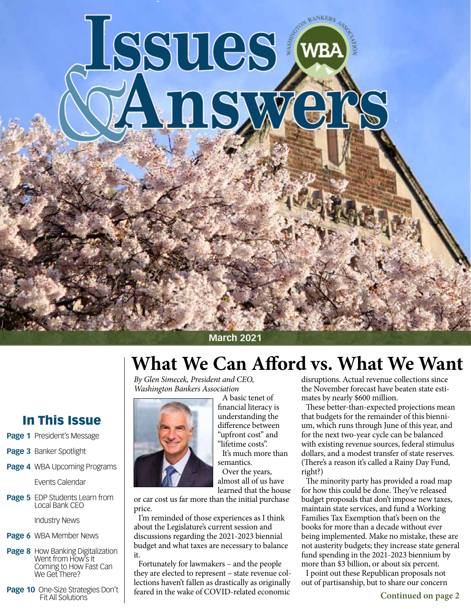# Issues (WBA

# **March 2021**

# **What We Can Afford vs. What We Want**

*By Glen Simecek, President and CEO, Washington Bankers Association*



- **Page 1** President's Message
- **Page 3** Banker Spotlight
- **Page 4** WBA Upcoming Programs

Events Calendar

**Page 5** EDP Students Learn from Local Bank CEO

Industry News

- **Page 6** WBA Member News
- **Page 8** How Banking Digitalization Went from How's It Coming to How Fast Can We Get There?
- **Page 10** One-Size Strategies Don't Fit All Solutions



A basic tenet of financial literacy is understanding the difference between "upfront cost" and "lifetime costs". It's much more than

semantics.

Over the years, almost all of us have learned that the house

or car cost us far more than the initial purchase price.

I'm reminded of those experiences as I think about the Legislature's current session and discussions regarding the 2021-2023 biennial budget and what taxes are necessary to balance it.

Fortunately for lawmakers – and the people they are elected to represent – state revenue collections haven't fallen as drastically as originally feared in the wake of COVID-related economic

disruptions. Actual revenue collections since the November forecast have beaten state estimates by nearly \$600 million.

These better-than-expected projections mean that budgets for the remainder of this biennium, which runs through June of this year, and for the next two-year cycle can be balanced with existing revenue sources, federal stimulus dollars, and a modest transfer of state reserves. (There's a reason it's called a Rainy Day Fund, right?)

The minority party has provided a road map for how this could be done. They've released budget proposals that don't impose new taxes, maintain state services, and fund a Working Families Tax Exemption that's been on the books for more than a decade without ever being implemented. Make no mistake, these are not austerity budgets; they increase state general fund spending in the 2021-2023 biennium by more than \$3 billion, or about six percent.

I point out these Republican proposals not out of partisanship, but to share our concern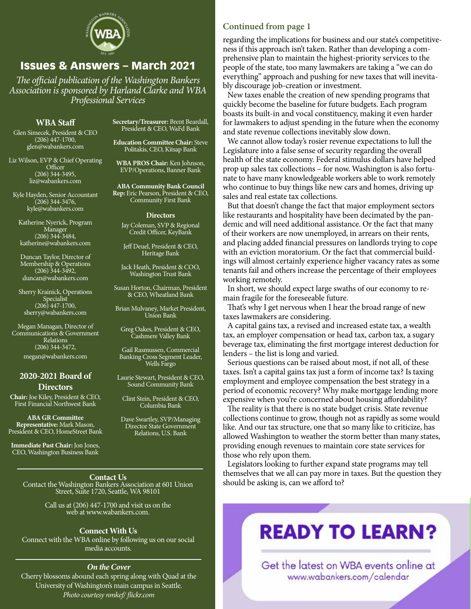

# Issues & Answers – March 2021

*The official publication of the Washington Bankers Association is sponsored by Harland Clarke and WBA Professional Services*

# **WBA Staff**

Glen Simecek, President & CEO (206) 447-1700, glen@wabankers.com

Liz Wilson, EVP & Chief Operating **Officer** (206) 344-3495, liz@wabankers.com

Kyle Hayden, Senior Accountant  $(206)$  344-3476, kyle@wabankers.com

Katherine Nyerick, Program Manager (206) 344-3484, katherine@wabankers.com

Duncan Taylor, Director of Membership & Operations (206) 344-3492, duncan@wabankers.com

Sherry Krainick, Operations Specialist (206) 447-1700, sherry@wabankers.com

Megan Managan, Director of Communications & Government Relations (206) 344-3472, megan@wabankers.com

#### **2020-2021 Board of Directors**

**Chair:** Joe Kiley, President & CEO, First Financial Northwest Bank

**ABA GR Committee Representative:** Mark Mason, President & CEO, HomeStreet Bank

**Immediate Past Chair:** Jon Jones, CEO, Washington Business Bank

**Secretary/Treasurer:** Brent Beardall, President & CEO, WaFd Bank

**Education Committee Chair:** Steve Politakis, CEO, Kitsap Bank

**WBA PROS Chair:** Ken Johnson, EVP/Operations, Banner Bank

**ABA Community Bank Council Rep:** Eric Pearson, President & CEO, Community First Bank

#### **Directors**

Jay Coleman, SVP & Regional Credit Officer, KeyBank

Jeff Deuel, President & CEO, Heritage Bank

Jack Heath, President & COO, Washington Trust Bank

Susan Horton, Chairman, President & CEO, Wheatland Bank

Brian Mulvaney, Market President, Union Bank

Greg Oakes, President & CEO, Cashmere Valley Bank

Gail Rasmussen, Commercial Banking Cross Segment Leader, Wells Fargo

Laurie Stewart, President & CEO, Sound Community Bank

Clint Stein, President & CEO, Columbia Bank

Dave Swartley, SVP/Managing Director State Government Relations, U.S. Bank

**Contact Us** Contact the Washington Bankers Association at 601 Union Street, Suite 1720, Seattle, WA 98101

> Call us at (206) 447-1700 and visit us on the web at www.wabankers.com.

#### **Connect With Us**

Connect with the WBA online by following us on our social media accounts.

# *On the Cover*

Cherry blossoms abound each spring along with Quad at the University of Washington's main campus in Seattle. *Photo courtesy nmkef/ flickr.com*

# **Continued from page 1**

regarding the implications for business and our state's competitiveness if this approach isn't taken. Rather than developing a comprehensive plan to maintain the highest-priority services to the people of the state, too many lawmakers are taking a "we can do everything" approach and pushing for new taxes that will inevitably discourage job-creation or investment.

New taxes enable the creation of new spending programs that quickly become the baseline for future budgets. Each program boasts its built-in and vocal constituency, making it even harder for lawmakers to adjust spending in the future when the economy and state revenue collections inevitably slow down.

We cannot allow today's rosier revenue expectations to lull the Legislature into a false sense of security regarding the overall health of the state economy. Federal stimulus dollars have helped prop up sales tax collections – for now. Washington is also fortunate to have many knowledgeable workers able to work remotely who continue to buy things like new cars and homes, driving up sales and real estate tax collections.

But that doesn't change the fact that major employment sectors like restaurants and hospitality have been decimated by the pandemic and will need additional assistance. Or the fact that many of their workers are now unemployed, in arrears on their rents, and placing added financial pressures on landlords trying to cope with an eviction moratorium. Or the fact that commercial buildings will almost certainly experience higher vacancy rates as some tenants fail and others increase the percentage of their employees working remotely.

In short, we should expect large swaths of our economy to remain fragile for the foreseeable future.

That's why I get nervous when I hear the broad range of new taxes lawmakers are considering.

A capital gains tax, a revised and increased estate tax, a wealth tax, an employer compensation or head tax, carbon tax, a sugary beverage tax, eliminating the first mortgage interest deduction for lenders – the list is long and varied.

Serious questions can be raised about most, if not all, of these taxes. Isn't a capital gains tax just a form of income tax? Is taxing employment and employee compensation the best strategy in a period of economic recovery? Why make mortgage lending more expensive when you're concerned about housing affordability?

The reality is that there is no state budget crisis. State revenue collections continue to grow, though not as rapidly as some would like. And our tax structure, one that so many like to criticize, has allowed Washington to weather the storm better than many states, providing enough revenues to maintain core state services for those who rely upon them.

Legislators looking to further expand state programs may tell themselves that we all can pay more in taxes. But the question they should be asking is, can we afford to?

# **READY TO LEARN?**

Get the latest on WBA events online at www.wabankers.com/calendar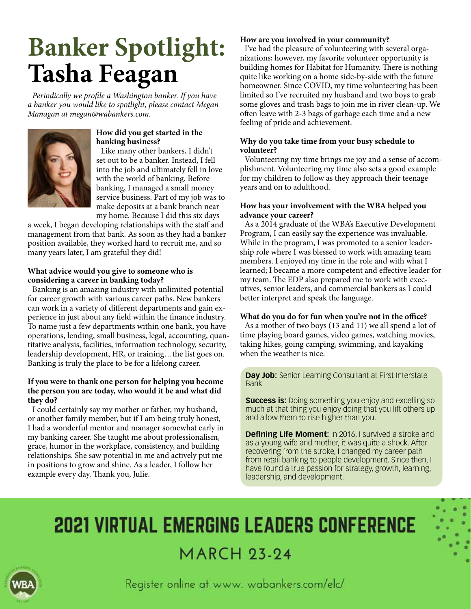# **Banker Spotlight: Tasha Feagan**

*Periodically we profile a Washington banker. If you have a banker you would like to spotlight, please contact Megan Managan at megan@wabankers.com.*



# **How did you get started in the banking business?**

Like many other bankers, I didn't set out to be a banker. Instead, I fell into the job and ultimately fell in love with the world of banking. Before banking, I managed a small money service business. Part of my job was to make deposits at a bank branch near my home. Because I did this six days

a week, I began developing relationships with the staff and management from that bank. As soon as they had a banker position available, they worked hard to recruit me, and so many years later, I am grateful they did!

# **What advice would you give to someone who is considering a career in banking today?**

Banking is an amazing industry with unlimited potential for career growth with various career paths. New bankers can work in a variety of different departments and gain experience in just about any field within the finance industry. To name just a few departments within one bank, you have operations, lending, small business, legal, accounting, quantitative analysis, facilities, information technology, security, leadership development, HR, or training…the list goes on. Banking is truly the place to be for a lifelong career.

# **If you were to thank one person for helping you become the person you are today, who would it be and what did they do?**

I could certainly say my mother or father, my husband, or another family member, but if I am being truly honest, I had a wonderful mentor and manager somewhat early in my banking career. She taught me about professionalism, grace, humor in the workplace, consistency, and building relationships. She saw potential in me and actively put me in positions to grow and shine. As a leader, I follow her example every day. Thank you, Julie.

# **How are you involved in your community?**

I've had the pleasure of volunteering with several organizations; however, my favorite volunteer opportunity is building homes for Habitat for Humanity. There is nothing quite like working on a home side-by-side with the future homeowner. Since COVID, my time volunteering has been limited so I've recruited my husband and two boys to grab some gloves and trash bags to join me in river clean-up. We often leave with 2-3 bags of garbage each time and a new feeling of pride and achievement.

# **Why do you take time from your busy schedule to volunteer?**

Volunteering my time brings me joy and a sense of accomplishment. Volunteering my time also sets a good example for my children to follow as they approach their teenage years and on to adulthood.

# **How has your involvement with the WBA helped you advance your career?**

As a 2014 graduate of the WBA's Executive Development Program, I can easily say the experience was invaluable. While in the program, I was promoted to a senior leadership role where I was blessed to work with amazing team members. I enjoyed my time in the role and with what I learned; I became a more competent and effective leader for my team. The EDP also prepared me to work with executives, senior leaders, and commercial bankers as I could better interpret and speak the language.

# **What do you do for fun when you're not in the office?**

As a mother of two boys (13 and 11) we all spend a lot of time playing board games, video games, watching movies, taking hikes, going camping, swimming, and kayaking when the weather is nice.

**Day Job:** Senior Learning Consultant at First Interstate Bank

**Success is:** Doing something you enjoy and excelling so much at that thing you enjoy doing that you lift others up and allow them to rise higher than you.

**Defining Life Moment:** In 2016, I survived a stroke and as a young wife and mother, it was quite a shock. After recovering from the stroke, I changed my career path from retail banking to people development. Since then, I have found a true passion for strategy, growth, learning, leadership, and development.

# **2021 VIRTUAL EMERGING LEADERS CONFERENCE MARCH 23-24**



Register online at www. wabankers.com/elc/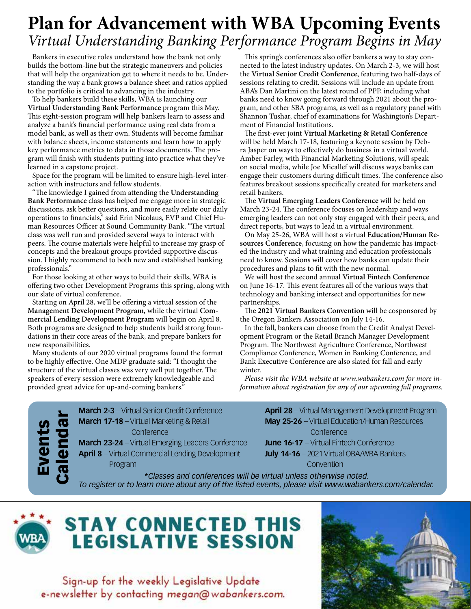# **Plan for Advancement with WBA Upcoming Events** *Virtual Understanding Banking Performance Program Begins in May*

Bankers in executive roles understand how the bank not only builds the bottom-line but the strategic maneuvers and policies that will help the organization get to where it needs to be. Understanding the way a bank grows a balance sheet and ratios applied to the portfolio is critical to advancing in the industry.

To help bankers build these skills, WBA is launching our **Virtual Understanding Bank Performance** program this May. This eight-session program will help bankers learn to assess and analyze a bank's financial performance using real data from a model bank, as well as their own. Students will become familiar with balance sheets, income statements and learn how to apply key performance metrics to data in those documents. The program will finish with students putting into practice what they've learned in a capstone project.

Space for the program will be limited to ensure high-level interaction with instructors and fellow students.

"The knowledge I gained from attending the **Understanding Bank Performance** class has helped me engage more in strategic discussions, ask better questions, and more easily relate our daily operations to financials," said Erin Nicolaus, EVP and Chief Human Resources Officer at Sound Community Bank. "The virtual class was well run and provided several ways to interact with peers. The course materials were helpful to increase my grasp of concepts and the breakout groups provided supportive discussion. I highly recommend to both new and established banking professionals."

For those looking at other ways to build their skills, WBA is offering two other Development Programs this spring, along with our slate of virtual conference.

Starting on April 28, we'll be offering a virtual session of the **Management Development Program**, while the virtual **Commercial Lending Development Program** will begin on April 8. Both programs are designed to help students build strong foundations in their core areas of the bank, and prepare bankers for new responsibilities.

Many students of our 2020 virtual programs found the format to be highly effective. One MDP graduate said: "I thought the structure of the virtual classes was very well put together. The speakers of every session were extremely knowledgeable and provided great advice for up-and-coming bankers."

This spring's conferences also offer bankers a way to stay connected to the latest industry updates. On March 2-3, we will host the **Virtual Senior Credit Conference**, featuring two half-days of sessions relating to credit. Sessions will include an update from ABA's Dan Martini on the latest round of PPP, including what banks need to know going forward through 2021 about the program, and other SBA programs, as well as a regulatory panel with Shannon Tushar, chief of examinations for Washington's Department of Financial Institutions.

The first-ever joint **Virtual Marketing & Retail Conference** will be held March 17-18, featuring a keynote session by Debra Jasper on ways to effectively do business in a virtual world. Amber Farley, with Financial Marketing Solutions, will speak on social media, while Joe Micallef will discuss ways banks can engage their customers during difficult times. The conference also features breakout sessions specifically created for marketers and retail bankers.

The **Virtual Emerging Leaders Conference** will be held on March 23-24. The conference focuses on leadership and ways emerging leaders can not only stay engaged with their peers, and direct reports, but ways to lead in a virtual environment.

On May 25-26, WBA will host a virtual **Education/Human Resources Conference**, focusing on how the pandemic has impacted the industry and what training and education professionals need to know. Sessions will cover how banks can update their procedures and plans to fit with the new normal.

We will host the second annual **Virtual Fintech Conference** on June 16-17. This event features all of the various ways that technology and banking intersect and opportunities for new partnerships.

The **2021 Virtual Bankers Convention** will be cosponsored by the Oregon Bankers Association on July 14-16.

In the fall, bankers can choose from the Credit Analyst Development Program or the Retail Branch Manager Development Program. The Northwest Agriculture Conference, Northwest Compliance Conference, Women in Banking Conference, and Bank Executive Conference are also slated for fall and early winter.

*Please visit the WBA website at www.wabankers.com for more information about registration for any of our upcoming fall programs.*

Events Calendar **March 2-3** – Virtual Senior Credit Conference **March 17-18** – Virtual Marketing & Retail **Conference** 

**March 23-24** – Virtual Emerging Leaders Conference **April 8** – Virtual Commercial Lending Development

Program

**April 28** – Virtual Management Development Program **May 25-26** – Virtual Education/Human Resources **Conference** 

**June 16-17** – Virtual Fintech Conference **July 14-16** – 2021 Virtual OBA/WBA Bankers

Convention

*\*Classes and conferences will be virtual unless otherwise noted. To register or to learn more about any of the listed events, please visit www.wabankers.com/calendar.* 



# **STAY CONNECTED THIS LEGISLATIVE SESSION**

Sign-up for the weekly Legislative Update e-newsletter by contacting megan@wabankers.com.

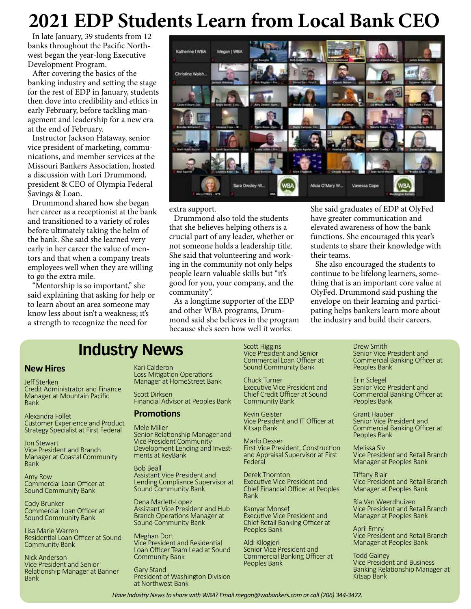# **2021 EDP Students Learn from Local Bank CEO**

In late January, 39 students from 12 banks throughout the Pacific Northwest began the year-long Executive Development Program.

After covering the basics of the banking industry and setting the stage for the rest of EDP in January, students then dove into credibility and ethics in early February, before tackling management and leadership for a new era at the end of February.

Instructor Jackson Hataway, senior vice president of marketing, communications, and member services at the Missouri Bankers Association, hosted a discussion with Lori Drummond, president & CEO of Olympia Federal Savings & Loan.

Drummond shared how she began her career as a receptionist at the bank and transitioned to a variety of roles before ultimately taking the helm of the bank. She said she learned very early in her career the value of mentors and that when a company treats employees well when they are willing to go the extra mile.

"Mentorship is so important," she said explaining that asking for help or to learn about an area someone may know less about isn't a weakness; it's a strength to recognize the need for



#### extra support.

Drummond also told the students that she believes helping others is a crucial part of any leader, whether or not someone holds a leadership title. She said that volunteering and working in the community not only helps people learn valuable skills but "it's good for you, your company, and the community".

As a longtime supporter of the EDP and other WBA programs, Drummond said she believes in the program because she's seen how well it works.

She said graduates of EDP at OlyFed have greater communication and elevated awareness of how the bank functions. She encouraged this year's students to share their knowledge with their teams.

She also encouraged the students to continue to be lifelong learners, something that is an important core value at OlyFed. Drummond said pushing the envelope on their learning and participating helps bankers learn more about the industry and build their careers.

# **Industry News**

#### **New Hires**

Jeff Sterken Credit Administrator and Finance Manager at Mountain Pacific Bank

Alexandra Follet Customer Experience and Product Strategy Specialist at First Federal

Jon Stewart Vice President and Branch Manager at Coastal Community Bank

Amy Row Commercial Loan Officer at Sound Community Bank

Cody Brunker Commercial Loan Officer at Sound Community Bank

Lisa Marie Warren Residential Loan Officer at Sound Community Bank

Nick Anderson Vice President and Senior Relationship Manager at Banner Bank

Kari Calderon Loss Mitigation Operations Manager at HomeStreet Bank

Scott Dirksen Financial Advisor at Peoples Bank

#### **Promotions**

Mele Miller Senior Relationship Manager and Vice President Community Development Lending and Invest- ments at KeyBank

Bob Beall Assistant Vice President and Lending Compliance Supervisor at Sound Community Bank

Dena Marlett-Lopez Assistant Vice President and Hub Branch Operations Manager at Sound Community Bank

Meghan Dort Vice President and Residential Loan Officer Team Lead at Sound Community Bank

Gary Stand President of Washington Division at Northwest Bank

Scott Higgins

Vice President and Senior Commercial Loan Officer at Sound Community Bank

Chuck Turner Executive Vice President and Chief Credit Officer at Sound Community Bank

Kevin Geister Vice President and IT Officer at Kitsap Bank

Marlo Desser First Vice President, Construction and Appraisal Supervisor at First Federal

Derek Thornton Executive Vice President and Chief Financial Officer at Peoples Bank

Kamyar Monsef Executive Vice President and Chief Retail Banking Officer at Peoples Bank

Aldi Kllogjeri Senior Vice President and Commercial Banking Officer at Peoples Bank

Drew Smith Senior Vice President and Commercial Banking Officer at Peoples Bank

Erin Sclegel Senior Vice President and Commercial Banking Officer at Peoples Bank

Grant Hauber Senior Vice President and Commercial Banking Officer at Peoples Bank

Melissa Siv Vice President and Retail Branch Manager at Peoples Bank

Tiffany Blair Vice President and Retail Branch Manager at Peoples Bank

Ria Van Weerdhuizen Vice President and Retail Branch Manager at Peoples Bank

April Emry Vice President and Retail Branch Manager at Peoples Bank

Todd Gainey Vice President and Business Banking Relationship Manager at Kitsap Bank

*Have Industry News to share with WBA? Email megan@wabankers.com or call (206) 344-3472.*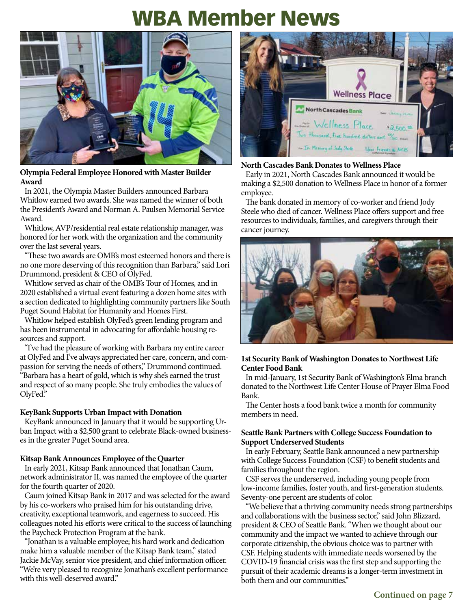# WBA Member News



# **Olympia Federal Employee Honored with Master Builder Award**

In 2021, the Olympia Master Builders announced Barbara Whitlow earned two awards. She was named the winner of both the President's Award and Norman A. Paulsen Memorial Service Award.

Whitlow, AVP/residential real estate relationship manager, was honored for her work with the organization and the community over the last several years.

"These two awards are OMB's most esteemed honors and there is no one more deserving of this recognition than Barbara," said Lori Drummond, president & CEO of OlyFed.

Whitlow served as chair of the OMB's Tour of Homes, and in 2020 established a virtual event featuring a dozen home sites with a section dedicated to highlighting community partners like South Puget Sound Habitat for Humanity and Homes First.

Whitlow helped establish OlyFed's green lending program and has been instrumental in advocating for affordable housing resources and support.

"I've had the pleasure of working with Barbara my entire career at OlyFed and I've always appreciated her care, concern, and compassion for serving the needs of others," Drummond continued. "Barbara has a heart of gold, which is why she's earned the trust and respect of so many people. She truly embodies the values of OlyFed."

# **KeyBank Supports Urban Impact with Donation**

KeyBank announced in January that it would be supporting Urban Impact with a \$2,500 grant to celebrate Black-owned businesses in the greater Puget Sound area.

# **Kitsap Bank Announces Employee of the Quarter**

In early 2021, Kitsap Bank announced that Jonathan Caum, network administrator II, was named the employee of the quarter for the fourth quarter of 2020.

Caum joined Kitsap Bank in 2017 and was selected for the award by his co-workers who praised him for his outstanding drive, creativity, exceptional teamwork, and eagerness to succeed. His colleagues noted his efforts were critical to the success of launching the Paycheck Protection Program at the bank.

"Jonathan is a valuable employee; his hard work and dedication make him a valuable member of the Kitsap Bank team," stated Jackie McVay, senior vice president, and chief information officer. "We're very pleased to recognize Jonathan's excellent performance with this well-deserved award."



# **North Cascades Bank Donates to Wellness Place**

Early in 2021, North Cascades Bank announced it would be making a \$2,500 donation to Wellness Place in honor of a former employee.

The bank donated in memory of co-worker and friend Jody Steele who died of cancer. Wellness Place offers support and free resources to individuals, families, and caregivers through their cancer journey.



# **1st Security Bank of Washington Donates to Northwest Life Center Food Bank**

In mid-January, 1st Security Bank of Washington's Elma branch donated to the Northwest Life Center House of Prayer Elma Food Bank.

The Center hosts a food bank twice a month for community members in need.

# **Seattle Bank Partners with College Success Foundation to Support Underserved Students**

In early February, Seattle Bank announced a new partnership with College Success Foundation (CSF) to benefit students and families throughout the region.

CSF serves the underserved, including young people from low-income families, foster youth, and first-generation students. Seventy-one percent are students of color.

"We believe that a thriving community needs strong partnerships and collaborations with the business sector," said John Blizzard, president & CEO of Seattle Bank. "When we thought about our community and the impact we wanted to achieve through our corporate citizenship, the obvious choice was to partner with CSF. Helping students with immediate needs worsened by the COVID-19 financial crisis was the first step and supporting the pursuit of their academic dreams is a longer-term investment in both them and our communities."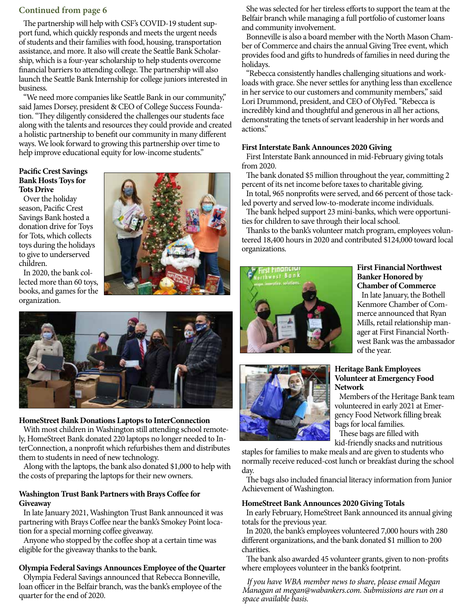# **Continued from page 6**

The partnership will help with CSF's COVID-19 student support fund, which quickly responds and meets the urgent needs of students and their families with food, housing, transportation assistance, and more. It also will create the Seattle Bank Scholarship, which is a four-year scholarship to help students overcome financial barriers to attending college. The partnership will also launch the Seattle Bank Internship for college juniors interested in business.

"We need more companies like Seattle Bank in our community," said James Dorsey, president & CEO of College Success Foundation. "They diligently considered the challenges our students face along with the talents and resources they could provide and created a holistic partnership to benefit our community in many different ways. We look forward to growing this partnership over time to help improve educational equity for low-income students."

#### **Pacific Crest Savings Bank Hosts Toys for Tots Drive**

Over the holiday season, Pacific Crest Savings Bank hosted a donation drive for Toys for Tots, which collects toys during the holidays to give to underserved children.

In 2020, the bank collected more than 60 toys, books, and games for the organization.





# **HomeStreet Bank Donations Laptops to InterConnection**

With most children in Washington still attending school remotely, HomeStreet Bank donated 220 laptops no longer needed to InterConnection, a nonprofit which refurbishes them and distributes them to students in need of new technology.

Along with the laptops, the bank also donated \$1,000 to help with the costs of preparing the laptops for their new owners.

# **Washington Trust Bank Partners with Brays Coffee for Giveaway**

In late January 2021, Washington Trust Bank announced it was partnering with Brays Coffee near the bank's Smokey Point location for a special morning coffee giveaway.

Anyone who stopped by the coffee shop at a certain time was eligible for the giveaway thanks to the bank.

# **Olympia Federal Savings Announces Employee of the Quarter**

Olympia Federal Savings announced that Rebecca Bonneville, loan officer in the Belfair branch, was the bank's employee of the quarter for the end of 2020.

She was selected for her tireless efforts to support the team at the Belfair branch while managing a full portfolio of customer loans and community involvement.

Bonneville is also a board member with the North Mason Chamber of Commerce and chairs the annual Giving Tree event, which provides food and gifts to hundreds of families in need during the holidays.

"Rebecca consistently handles challenging situations and workloads with grace. She never settles for anything less than excellence in her service to our customers and community members," said Lori Drummond, president, and CEO of OlyFed. "Rebecca is incredibly kind and thoughtful and generous in all her actions, demonstrating the tenets of servant leadership in her words and actions."

#### **First Interstate Bank Announces 2020 Giving**

First Interstate Bank announced in mid-February giving totals from 2020.

The bank donated \$5 million throughout the year, committing 2 percent of its net income before taxes to charitable giving.

In total, 965 nonprofits were served, and 66 percent of those tackled poverty and served low-to-moderate income individuals.

The bank helped support 23 mini-banks, which were opportunities for children to save through their local school.

Thanks to the bank's volunteer match program, employees volunteered 18,400 hours in 2020 and contributed \$124,000 toward local organizations.



# **First Financial Northwest Banker Honored by Chamber of Commerce**

In late January, the Bothell Kenmore Chamber of Commerce announced that Ryan Mills, retail relationship manager at First Financial Northwest Bank was the ambassador of the year.



#### **Heritage Bank Employees Volunteer at Emergency Food Network**

Members of the Heritage Bank team volunteered in early 2021 at Emergency Food Network filling break bags for local families.

These bags are filled with kid-friendly snacks and nutritious

staples for families to make meals and are given to students who normally receive reduced-cost lunch or breakfast during the school day.

The bags also included financial literacy information from Junior Achievement of Washington.

# **HomeStreet Bank Announces 2020 Giving Totals**

In early February, HomeStreet Bank announced its annual giving totals for the previous year.

In 2020, the bank's employees volunteered 7,000 hours with 280 different organizations, and the bank donated \$1 million to 200 charities.

The bank also awarded 45 volunteer grants, given to non-profits where employees volunteer in the bank's footprint.

*If you have WBA member news to share, please email Megan Managan at megan@wabankers.com. Submissions are run on a space available basis.*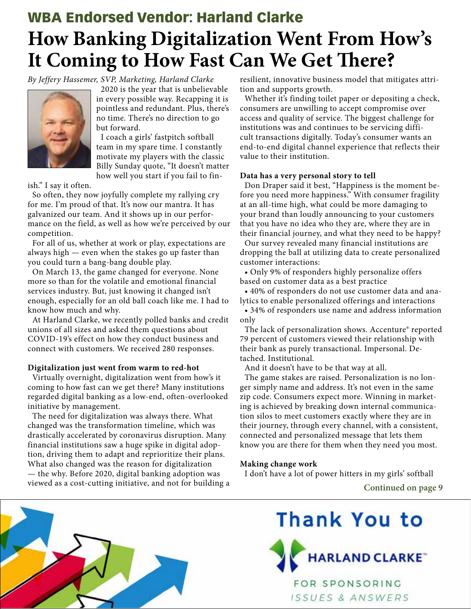# **How Banking Digitalization Went From How's It Coming to How Fast Can We Get There?** WBA Endorsed Vendor: Harland Clarke

*By Jeffery Hassemer, SVP, Marketing, Harland Clarke*



2020 is the year that is unbelievable in every possible way. Recapping it is pointless and redundant. Plus, there's no time. There's no direction to go but forward.

I coach a girls' fastpitch softball team in my spare time. I constantly motivate my players with the classic Billy Sunday quote, "It doesn't matter how well you start if you fail to fin-

ish." I say it often.

So often, they now joyfully complete my rallying cry for me. I'm proud of that. It's now our mantra. It has galvanized our team. And it shows up in our performance on the field, as well as how we're perceived by our competition.

For all of us, whether at work or play, expectations are always high — even when the stakes go up faster than you could turn a bang-bang double play.

On March 13, the game changed for everyone. None more so than for the volatile and emotional financial services industry. But, just knowing it changed isn't enough, especially for an old ball coach like me. I had to know how much and why.

At Harland Clarke, we recently polled banks and credit unions of all sizes and asked them questions about COVID-19's effect on how they conduct business and connect with customers. We received 280 responses.

# **Digitalization just went from warm to red-hot**

Virtually overnight, digitalization went from how's it coming to how fast can we get there? Many institutions regarded digital banking as a low-end, often-overlooked initiative by management.

The need for digitalization was always there. What changed was the transformation timeline, which was drastically accelerated by coronavirus disruption. Many financial institutions saw a huge spike in digital adoption, driving them to adapt and reprioritize their plans. What also changed was the reason for digitalization — the why. Before 2020, digital banking adoption was viewed as a cost-cutting initiative, and not for building a resilient, innovative business model that mitigates attrition and supports growth.

Whether it's finding toilet paper or depositing a check, consumers are unwilling to accept compromise over access and quality of service. The biggest challenge for institutions was and continues to be servicing difficult transactions digitally. Today's consumer wants an end-to-end digital channel experience that reflects their value to their institution.

# **Data has a very personal story to tell**

Don Draper said it best, "Happiness is the moment before you need more happiness." With consumer fragility at an all-time high, what could be more damaging to your brand than loudly announcing to your customers that you have no idea who they are, where they are in their financial journey, and what they need to be happy?

Our survey revealed many financial institutions are dropping the ball at utilizing data to create personalized customer interactions:

• Only 9% of responders highly personalize offers based on customer data as a best practice

• 40% of responders do not use customer data and analytics to enable personalized offerings and interactions

• 34% of responders use name and address information only

The lack of personalization shows. Accenture® reported 79 percent of customers viewed their relationship with their bank as purely transactional. Impersonal. Detached. Institutional.

And it doesn't have to be that way at all.

The game stakes are raised. Personalization is no longer simply name and address. It's not even in the same zip code. Consumers expect more. Winning in marketing is achieved by breaking down internal communication silos to meet customers exactly where they are in their journey, through every channel, with a consistent, connected and personalized message that lets them know you are there for them when they need you most.

# **Making change work**

I don't have a lot of power hitters in my girls' softball

**Continued on page 9**



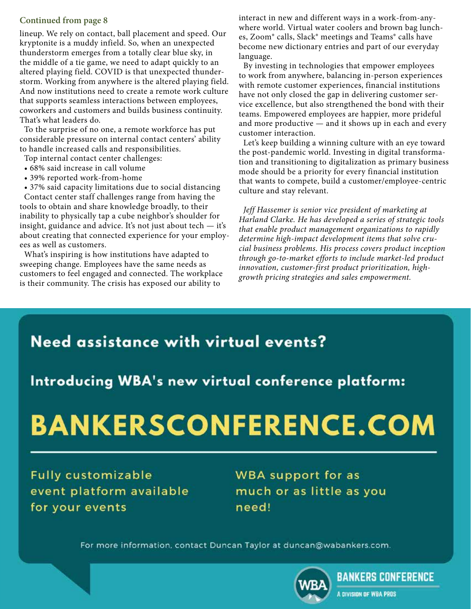# **Continued from page 8**

lineup. We rely on contact, ball placement and speed. Our kryptonite is a muddy infield. So, when an unexpected thunderstorm emerges from a totally clear blue sky, in the middle of a tie game, we need to adapt quickly to an altered playing field. COVID is that unexpected thunderstorm. Working from anywhere is the altered playing field. And now institutions need to create a remote work culture that supports seamless interactions between employees, coworkers and customers and builds business continuity. That's what leaders do.

To the surprise of no one, a remote workforce has put considerable pressure on internal contact centers' ability to handle increased calls and responsibilities.

Top internal contact center challenges:

- 68% said increase in call volume
- 39% reported work-from-home

• 37% said capacity limitations due to social distancing Contact center staff challenges range from having the tools to obtain and share knowledge broadly, to their inability to physically tap a cube neighbor's shoulder for insight, guidance and advice. It's not just about tech — it's about creating that connected experience for your employees as well as customers.

What's inspiring is how institutions have adapted to sweeping change. Employees have the same needs as customers to feel engaged and connected. The workplace is their community. The crisis has exposed our ability to

interact in new and different ways in a work-from-anywhere world. Virtual water coolers and brown bag lunches, Zoom® calls, Slack® meetings and Teams® calls have become new dictionary entries and part of our everyday language.

By investing in technologies that empower employees to work from anywhere, balancing in-person experiences with remote customer experiences, financial institutions have not only closed the gap in delivering customer service excellence, but also strengthened the bond with their teams. Empowered employees are happier, more prideful and more productive — and it shows up in each and every customer interaction.

Let's keep building a winning culture with an eye toward the post-pandemic world. Investing in digital transformation and transitioning to digitalization as primary business mode should be a priority for every financial institution that wants to compete, build a customer/employee-centric culture and stay relevant.

*Jeff Hassemer is senior vice president of marketing at Harland Clarke. He has developed a series of strategic tools that enable product management organizations to rapidly determine high-impact development items that solve crucial business problems. His process covers product inception through go-to-market efforts to include market-led product innovation, customer-first product prioritization, highgrowth pricing strategies and sales empowerment.*

# **Need assistance with virtual events?**

Introducing WBA's new virtual conference platform:

# **BANKERSCONFERENCE.COM**

**Fully customizable** event platform available for your events

**WBA** support for as much or as little as you need!

For more information, contact Duncan Taylor at duncan@wabankers.com.



**BANKERS CONFERENCE** 

A DIVISION OF WBA PROS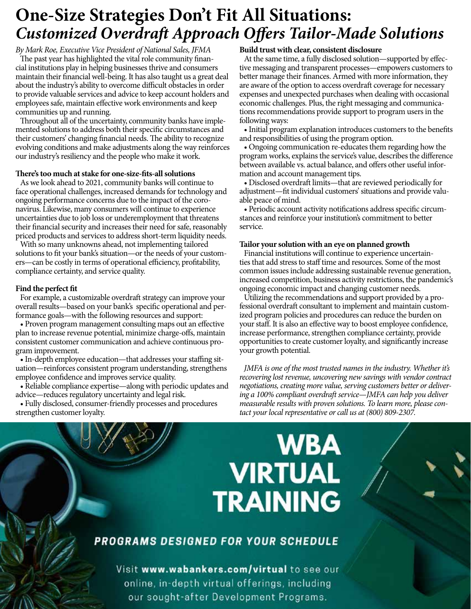# **One-Size Strategies Don't Fit All Situations:**  *Customized Overdraft Approach Offers Tailor-Made Solutions*

*By Mark Roe, Executive Vice President of National Sales, JFMA* The past year has highlighted the vital role community financial institutions play in helping businesses thrive and consumers maintain their financial well-being. It has also taught us a great deal about the industry's ability to overcome difficult obstacles in order to provide valuable services and advice to keep account holders and employees safe, maintain effective work environments and keep communities up and running.

Throughout all of the uncertainty, community banks have implemented solutions to address both their specific circumstances and their customers' changing financial needs. The ability to recognize evolving conditions and make adjustments along the way reinforces our industry's resiliency and the people who make it work.

#### **There's too much at stake for one-size-fits-all solutions**

As we look ahead to 2021, community banks will continue to face operational challenges, increased demands for technology and ongoing performance concerns due to the impact of the coronavirus. Likewise, many consumers will continue to experience uncertainties due to job loss or underemployment that threatens their financial security and increases their need for safe, reasonably priced products and services to address short-term liquidity needs.

With so many unknowns ahead, not implementing tailored solutions to fit your bank's situation—or the needs of your customers—can be costly in terms of operational efficiency, profitability, compliance certainty, and service quality.

# **Find the perfect fit**

For example, a customizable overdraft strategy can improve your overall results—based on your bank's specific operational and performance goals—with the following resources and support:

• Proven program management consulting maps out an effective plan to increase revenue potential, minimize charge-offs, maintain consistent customer communication and achieve continuous program improvement.

• In-depth employee education—that addresses your staffing situation—reinforces consistent program understanding, strengthens employee confidence and improves service quality.

• Reliable compliance expertise—along with periodic updates and advice—reduces regulatory uncertainty and legal risk.

• Fully disclosed, consumer-friendly processes and procedures strengthen customer loyalty.

# **Build trust with clear, consistent disclosure**

At the same time, a fully disclosed solution—supported by effective messaging and transparent processes—empowers customers to better manage their finances. Armed with more information, they are aware of the option to access overdraft coverage for necessary expenses and unexpected purchases when dealing with occasional economic challenges. Plus, the right messaging and communications recommendations provide support to program users in the following ways:

• Initial program explanation introduces customers to the benefits and responsibilities of using the program option.

• Ongoing communication re-educates them regarding how the program works, explains the service's value, describes the difference between available vs. actual balance, and offers other useful information and account management tips.

• Disclosed overdraft limits—that are reviewed periodically for adjustment—fit individual customers' situations and provide valuable peace of mind.

• Periodic account activity notifications address specific circumstances and reinforce your institution's commitment to better service.

#### **Tailor your solution with an eye on planned growth**

Financial institutions will continue to experience uncertainties that add stress to staff time and resources. Some of the most common issues include addressing sustainable revenue generation, increased competition, business activity restrictions, the pandemic's ongoing economic impact and changing customer needs.

Utilizing the recommendations and support provided by a professional overdraft consultant to implement and maintain customized program policies and procedures can reduce the burden on your staff. It is also an effective way to boost employee confidence, increase performance, strengthen compliance certainty, provide opportunities to create customer loyalty, and significantly increase your growth potential.

*JMFA is one of the most trusted names in the industry. Whether it's recovering lost revenue, uncovering new savings with vendor contract negotiations, creating more value, serving customers better or delivering a 100% compliant overdraft service—JMFA can help you deliver measurable results with proven solutions. To learn more, please contact your local representative or call us at (800) 809-2307.*

# **WBA VIRTUAL TRAINING**

# PROGRAMS DESIGNED FOR YOUR SCHEDULE

Visit www.wabankers.com/virtual to see our online, in-depth virtual offerings, including our sought-after Development Programs.